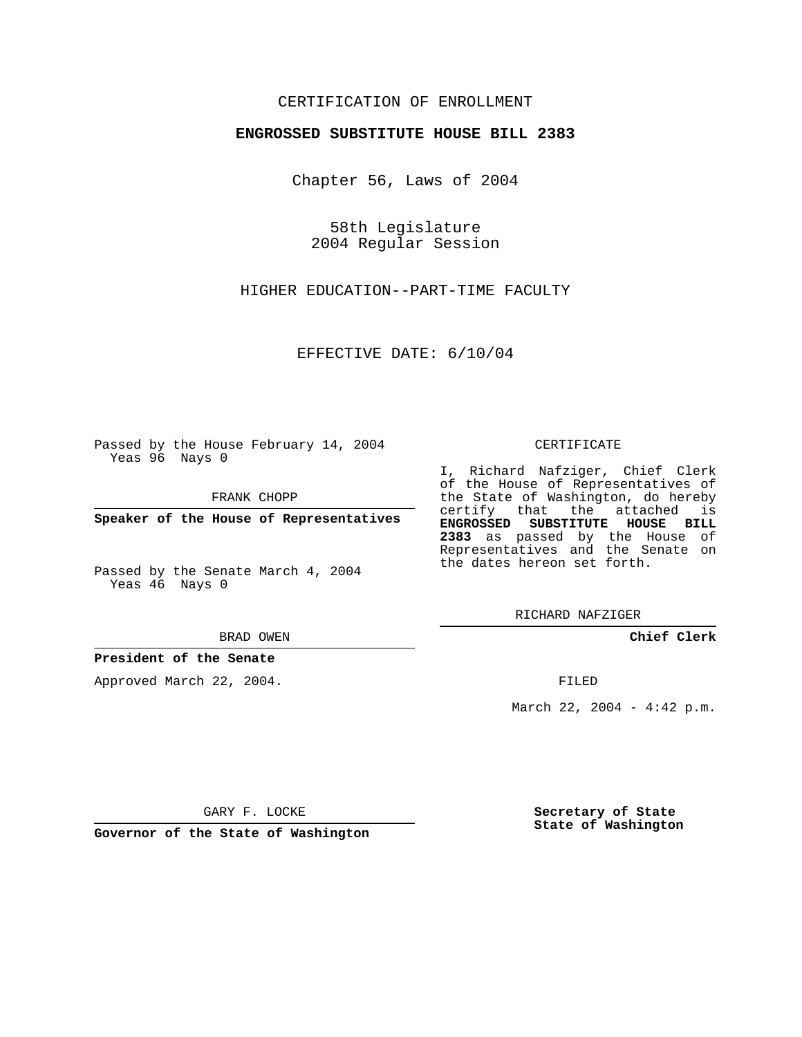## CERTIFICATION OF ENROLLMENT

#### **ENGROSSED SUBSTITUTE HOUSE BILL 2383**

Chapter 56, Laws of 2004

58th Legislature 2004 Regular Session

HIGHER EDUCATION--PART-TIME FACULTY

EFFECTIVE DATE: 6/10/04

Passed by the House February 14, 2004 Yeas 96 Nays 0

FRANK CHOPP

**Speaker of the House of Representatives**

Passed by the Senate March 4, 2004 Yeas 46 Nays 0

#### BRAD OWEN

## **President of the Senate**

Approved March 22, 2004.

#### CERTIFICATE

I, Richard Nafziger, Chief Clerk of the House of Representatives of the State of Washington, do hereby certify that the attached is **ENGROSSED SUBSTITUTE HOUSE BILL 2383** as passed by the House of Representatives and the Senate on the dates hereon set forth.

RICHARD NAFZIGER

**Chief Clerk**

FILED

March 22, 2004 - 4:42 p.m.

GARY F. LOCKE

**Governor of the State of Washington**

**Secretary of State State of Washington**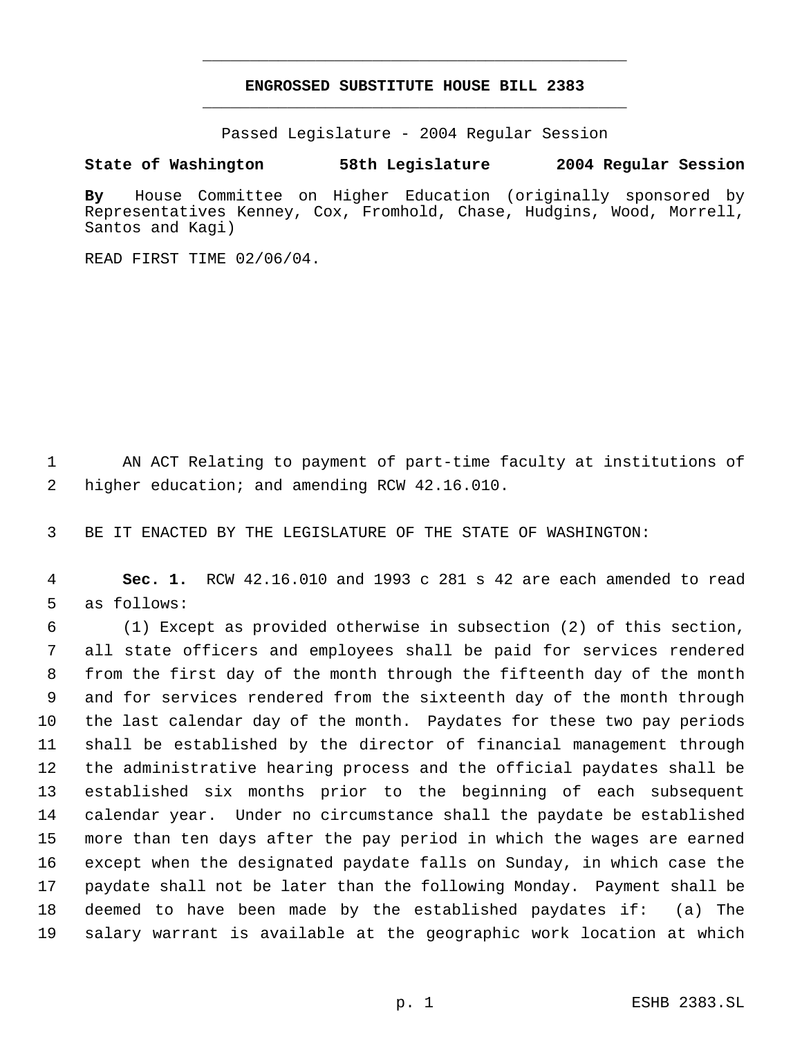# **ENGROSSED SUBSTITUTE HOUSE BILL 2383** \_\_\_\_\_\_\_\_\_\_\_\_\_\_\_\_\_\_\_\_\_\_\_\_\_\_\_\_\_\_\_\_\_\_\_\_\_\_\_\_\_\_\_\_\_

\_\_\_\_\_\_\_\_\_\_\_\_\_\_\_\_\_\_\_\_\_\_\_\_\_\_\_\_\_\_\_\_\_\_\_\_\_\_\_\_\_\_\_\_\_

Passed Legislature - 2004 Regular Session

### **State of Washington 58th Legislature 2004 Regular Session**

**By** House Committee on Higher Education (originally sponsored by Representatives Kenney, Cox, Fromhold, Chase, Hudgins, Wood, Morrell, Santos and Kagi)

READ FIRST TIME 02/06/04.

 AN ACT Relating to payment of part-time faculty at institutions of higher education; and amending RCW 42.16.010.

BE IT ENACTED BY THE LEGISLATURE OF THE STATE OF WASHINGTON:

 **Sec. 1.** RCW 42.16.010 and 1993 c 281 s 42 are each amended to read as follows:

 (1) Except as provided otherwise in subsection (2) of this section, all state officers and employees shall be paid for services rendered from the first day of the month through the fifteenth day of the month and for services rendered from the sixteenth day of the month through the last calendar day of the month. Paydates for these two pay periods shall be established by the director of financial management through the administrative hearing process and the official paydates shall be established six months prior to the beginning of each subsequent calendar year. Under no circumstance shall the paydate be established more than ten days after the pay period in which the wages are earned except when the designated paydate falls on Sunday, in which case the paydate shall not be later than the following Monday. Payment shall be deemed to have been made by the established paydates if: (a) The salary warrant is available at the geographic work location at which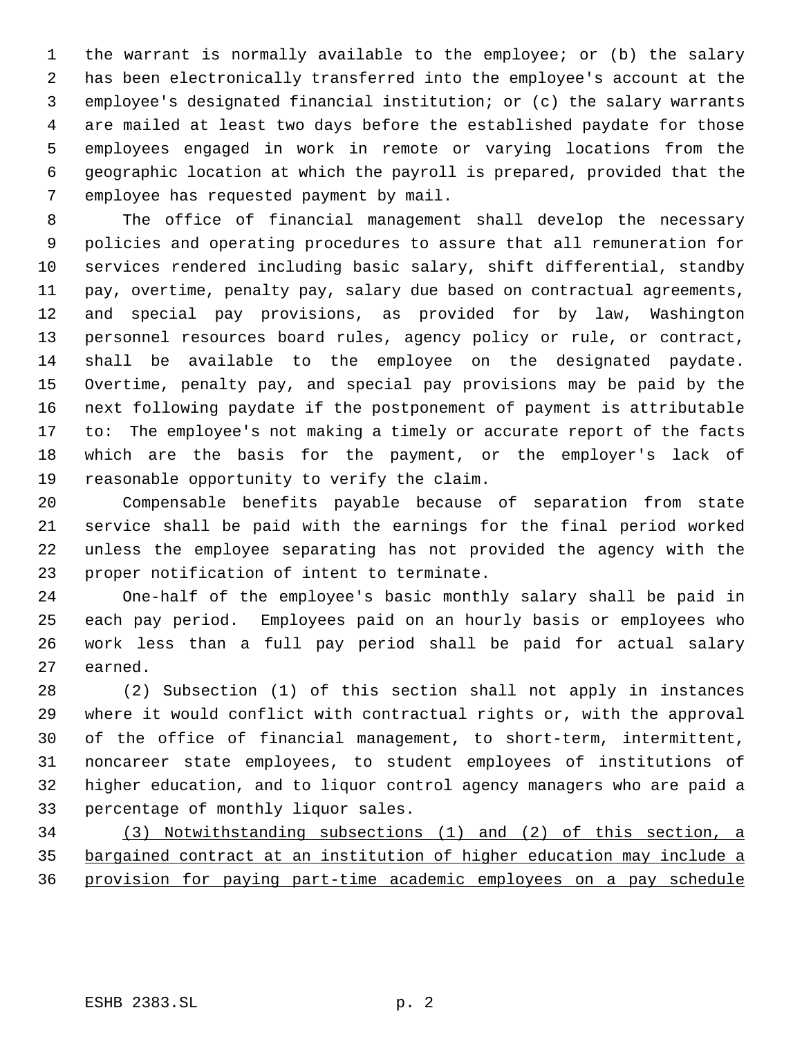the warrant is normally available to the employee; or (b) the salary has been electronically transferred into the employee's account at the employee's designated financial institution; or (c) the salary warrants are mailed at least two days before the established paydate for those employees engaged in work in remote or varying locations from the geographic location at which the payroll is prepared, provided that the employee has requested payment by mail.

 The office of financial management shall develop the necessary policies and operating procedures to assure that all remuneration for services rendered including basic salary, shift differential, standby pay, overtime, penalty pay, salary due based on contractual agreements, and special pay provisions, as provided for by law, Washington personnel resources board rules, agency policy or rule, or contract, 14 shall be available to the employee on the designated paydate. Overtime, penalty pay, and special pay provisions may be paid by the next following paydate if the postponement of payment is attributable to: The employee's not making a timely or accurate report of the facts which are the basis for the payment, or the employer's lack of reasonable opportunity to verify the claim.

 Compensable benefits payable because of separation from state service shall be paid with the earnings for the final period worked unless the employee separating has not provided the agency with the proper notification of intent to terminate.

 One-half of the employee's basic monthly salary shall be paid in each pay period. Employees paid on an hourly basis or employees who work less than a full pay period shall be paid for actual salary earned.

 (2) Subsection (1) of this section shall not apply in instances where it would conflict with contractual rights or, with the approval of the office of financial management, to short-term, intermittent, noncareer state employees, to student employees of institutions of higher education, and to liquor control agency managers who are paid a percentage of monthly liquor sales.

 (3) Notwithstanding subsections (1) and (2) of this section, a bargained contract at an institution of higher education may include a provision for paying part-time academic employees on a pay schedule